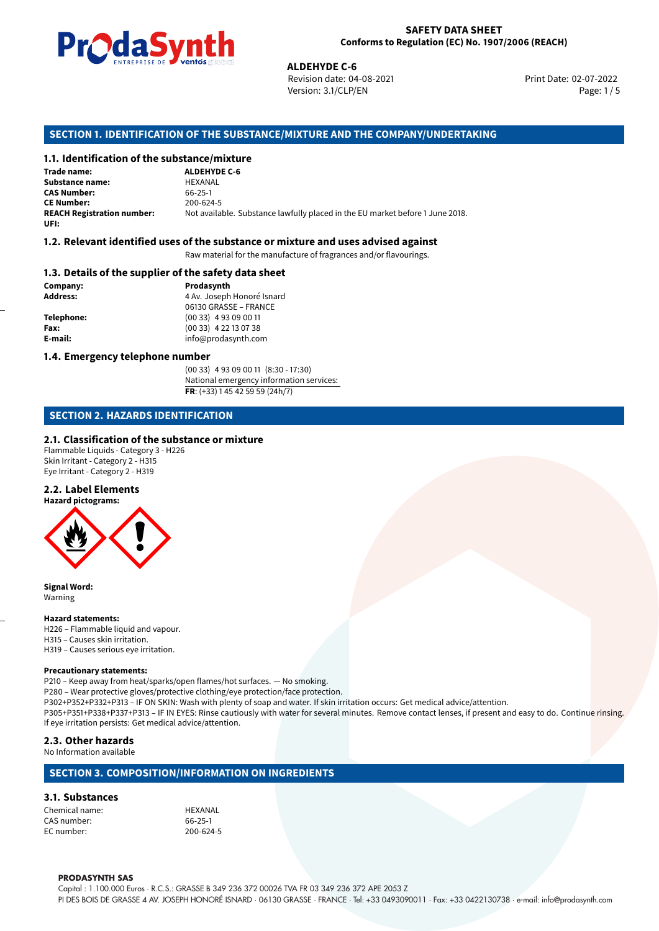

Revision date: 04-08-2021 Version: 3.1/CLP/EN Page: 1 / 5

Print Date: 02-07-2022

# **ALDEHYDE C-6**<br> **ALDEHYDE C-6**<br>
Revision date: 04<br>
Version: 3.1/CLP/<br> **OF THE SUBSTANCE/MIXTURE AND 1<br>
<b>tance/mixture**<br>
ALDEHYDE C-6 **SECTION 1. IDENTIFICATION OF THE SUBSTANCE/MIXTURE AND THE COMPANY/UNDERTAKING**

#### **1.1. Identification of the substance/mixture**

**Trade name: Substance name:** HEXANAL<br> **CAS Number:** 66-25-1 **CAS Number: CE Number:** 200-624-5<br>**REACH Registration number:** Not availa **UFI:**

Not available. Substance lawfully placed in the EU market before 1 June 2018.

# **1.2. Relevant identified uses of the substance or mixture and uses advised against**

Raw material for the manufacture of fragrances and/or flavourings.

#### **1.3. Details of the supplier of the safety data sheet**

**Company: Prodasynth Prodasynth Address:** 4 Av. Joseph **Address:** 4 Av. Joseph Honoré Isnard

06130 GRASSE – FRANCE **Telephone:** (00 33) 4 93 09 00 11 **Fax:** (00 33) 4 22 13 07 38 **E-mail:** info@prodasynth.com

#### **1.4. Emergency telephone number**

(00 33) 4 93 09 00 11 (8:30 - 17:30) National emergency information services: **FR**: (+33) 1 45 42 59 59 (24h/7)

# **SECTION 2. HAZARDS IDENTIFICATION**

#### **2.1. Classification of the substance or mixture**

Flammable Liquids - Category 3 - H226 Skin Irritant - Category 2 - H315 Eye Irritant - Category 2 - H319

## **2.2. Label Elements**



**Signal Word:** Warning

# **Hazard statements:**

H226 – Flammable liquid and vapour. H315 – Causes skin irritation. H319 – Causes serious eye irritation.

#### **Precautionary statements:**

P210 – Keep away from heat/sparks/open flames/hot surfaces. — No smoking. P280 – Wear protective gloves/protective clothing/eye protection/face protection. P302+P352+P332+P313 – IF ON SKIN: Wash with plenty of soap and water. If skin irritation occurs: Get medical advice/attention. P305+P351+P338+P337+P313 – IF IN EYES: Rinse cautiously with water for several minutes. Remove contact lenses, if present and easy to do. Continue rinsing. If eye irritation persists: Get medical advice/attention.

#### **2.3. Other hazards** No Information available

## **SECTION 3. COMPOSITION/INFORMATION ON INGREDIENTS**

#### **3.1. Substances**

Chemical name: HEXANAL CAS number: 66-25-1 EC number:

#### **PRODASYNTH SAS**

Capital : 1.100.000 Euros · R.C.S.: GRASSE B 349 236 372 00026 TVA FR 03 349 236 372 APE 2053 Z PI DES BOIS DE GRASSE 4 AV. JOSEPH HONORÉ ISNARD · 06130 GRASSE · FRANCE · Tel: +33 0493090011 · Fax: +33 0422130738 · e-mail: info@prodasynth.com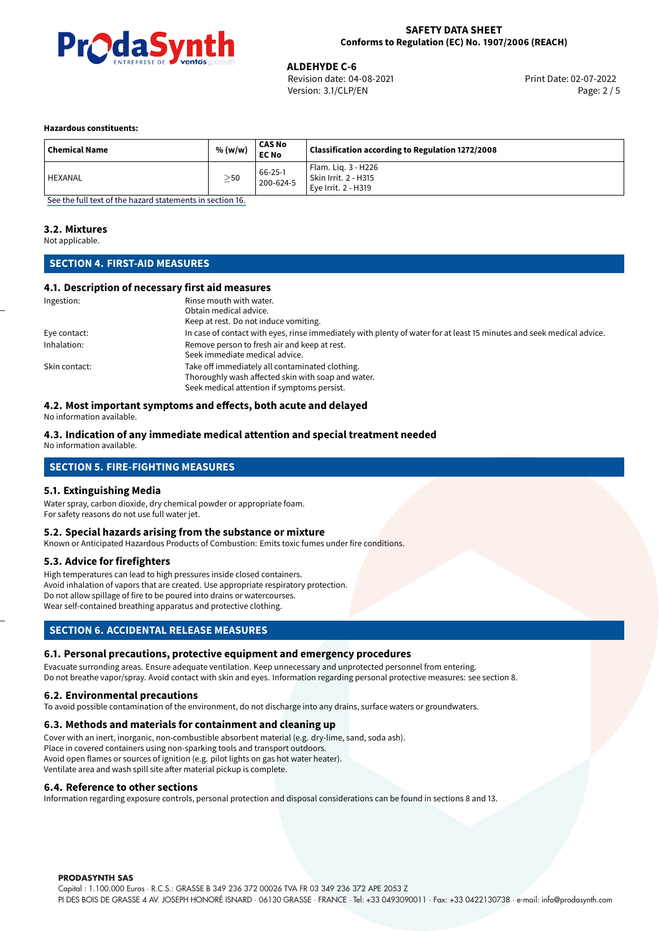

**ALDEHYDE C-6**<br>
Revision date: 04-08-2021<br> **COVERENT PROPERTY PROPERTY PROPERTY PRINT Date: 02-07-2022** Revision date: 04-08-2021 Version: 3.1/CLP/EN Page: 2 / 5

#### **Hazardous constituents:**

| <b>Chemical Name</b> | % (w/w)   | <b>CAS No</b><br><b>EC No</b> | Classification according to Regulation 1272/2008                   |
|----------------------|-----------|-------------------------------|--------------------------------------------------------------------|
| HEXANAL              | $\geq$ 50 | 66-25-1<br>200-624-5          | Flam. Lig. 3 - H226<br>Skin Irrit. 2 - H315<br>Eve Irrit. 2 - H319 |

[See the full text of the hazard statements in section 16.](#page-4-0)

#### **3.2. Mixtures**

Not applicable.

# **SECTION 4. FIRST-AID MEASURES**

# **4.1. Description of necessary first aid measures**

| Ingestion:    | Rinse mouth with water.                                                                                               |
|---------------|-----------------------------------------------------------------------------------------------------------------------|
|               | Obtain medical advice.                                                                                                |
|               | Keep at rest. Do not induce vomiting.                                                                                 |
| Eye contact:  | In case of contact with eyes, rinse immediately with plenty of water for at least 15 minutes and seek medical advice. |
| Inhalation:   | Remove person to fresh air and keep at rest.                                                                          |
|               | Seek immediate medical advice.                                                                                        |
| Skin contact: | Take off immediately all contaminated clothing.                                                                       |
|               | Thoroughly wash affected skin with soap and water.                                                                    |
|               | Seek medical attention if symptoms persist.                                                                           |

## **4.2. Most important symptoms and effects, both acute and delayed**

No information available.

#### **4.3. Indication of any immediate medical attention and special treatment needed**

No information available.

# **SECTION 5. FIRE-FIGHTING MEASURES**

#### **5.1. Extinguishing Media**

Water spray, carbon dioxide, dry chemical powder or appropriate foam. For safety reasons do not use full water jet.

#### **5.2. Special hazards arising from the substance or mixture**

Known or Anticipated Hazardous Products of Combustion: Emits toxic fumes under fire conditions.

#### **5.3. Advice for firefighters**

High temperatures can lead to high pressures inside closed containers. Avoid inhalation of vapors that are created. Use appropriate respiratory protection. Do not allow spillage of fire to be poured into drains or watercourses. Wear self-contained breathing apparatus and protective clothing.

# **SECTION 6. ACCIDENTAL RELEASE MEASURES**

#### **6.1. Personal precautions, protective equipment and emergency procedures**

Evacuate surronding areas. Ensure adequate ventilation. Keep unnecessary and unprotected personnel from entering. Do not breathe vapor/spray. Avoid contact with skin and eyes. Information regarding personal protective measures: see section 8.

#### **6.2. Environmental precautions**

To avoid possible contamination of the environment, do not discharge into any drains, surface waters or groundwaters.

#### **6.3. Methods and materials for containment and cleaning up**

Cover with an inert, inorganic, non-combustible absorbent material (e.g. dry-lime, sand, soda ash). Place in covered containers using non-sparking tools and transport outdoors. Avoid open flames or sources of ignition (e.g. pilot lights on gas hot water heater). Ventilate area and wash spill site after material pickup is complete.

#### **6.4. Reference to other sections**

Information regarding exposure controls, personal protection and disposal considerations can be found in sections 8 and 13.

#### **PRODASYNTH SAS**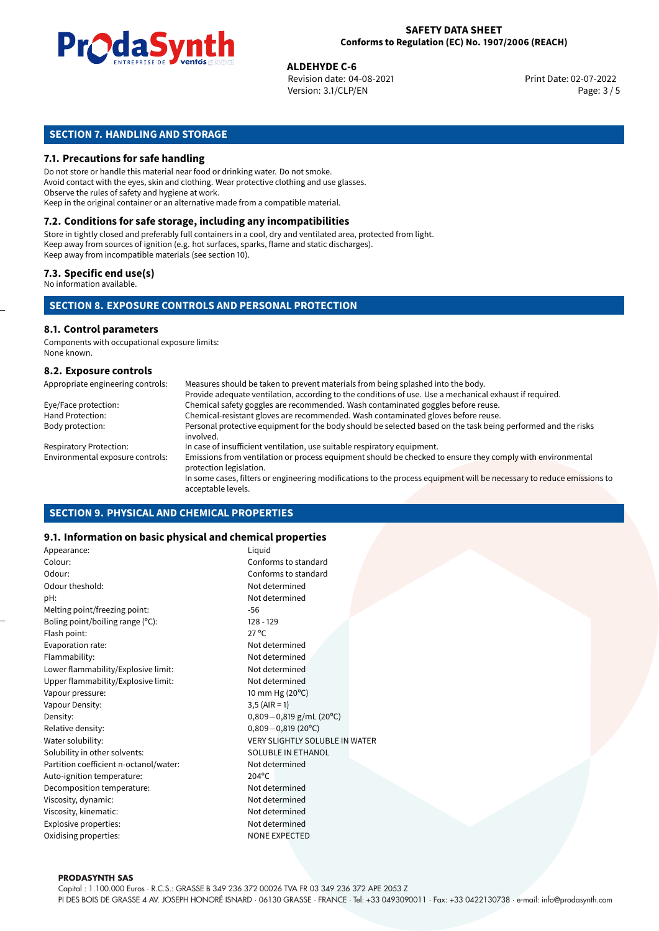

**ALDEHYDE C-6**<br>Revision date: 04-08-2021 **Alta and Servest Print Date: 02-07-2022** Version: 3.1/CLP/EN Page: 3 / 5

# **SECTION 7. HANDLING AND STORAGE**

# **7.1. Precautions for safe handling**

Do not store or handle this material near food or drinking water. Do not smoke. Avoid contact with the eyes, skin and clothing. Wear protective clothing and use glasses. Observe the rules of safety and hygiene at work. Keep in the original container or an alternative made from a compatible material.

# **7.2. Conditions for safe storage, including any incompatibilities**

Store in tightly closed and preferably full containers in a cool, dry and ventilated area, protected from light. Keep away from sources of ignition (e.g. hot surfaces, sparks, flame and static discharges). Keep away from incompatible materials (see section 10).

# **7.3. Specific end use(s)**

No information available.

# **SECTION 8. EXPOSURE CONTROLS AND PERSONAL PROTECTION**

# **8.1. Control parameters**

Components with occupational exposure limits: None known.

## **8.2. Exposure controls**

| Appropriate engineering controls: | Measures should be taken to prevent materials from being splashed into the body.                                                            |
|-----------------------------------|---------------------------------------------------------------------------------------------------------------------------------------------|
|                                   | Provide adequate ventilation, according to the conditions of use. Use a mechanical exhaust if required.                                     |
| Eye/Face protection:              | Chemical safety goggles are recommended. Wash contaminated goggles before reuse.                                                            |
| Hand Protection:                  | Chemical-resistant gloves are recommended. Wash contaminated gloves before reuse.                                                           |
| Body protection:                  | Personal protective equipment for the body should be selected based on the task being performed and the risks<br>involved.                  |
| <b>Respiratory Protection:</b>    | In case of insufficient ventilation, use suitable respiratory equipment.                                                                    |
| Environmental exposure controls:  | Emissions from ventilation or process equipment should be checked to ensure they comply with environmental<br>protection legislation.       |
|                                   | In some cases, filters or engineering modifications to the process equipment will be necessary to reduce emissions to<br>acceptable levels. |

## **SECTION 9. PHYSICAL AND CHEMICAL PROPERTIES**

## **9.1. Information on basic physical and chemical properties**

| Appearance:                            | Liquid                                |  |  |
|----------------------------------------|---------------------------------------|--|--|
| Colour:                                | Conforms to standard                  |  |  |
| Odour:                                 | Conforms to standard                  |  |  |
| Odour theshold:                        | Not determined                        |  |  |
| pH:                                    | Not determined                        |  |  |
| Melting point/freezing point:          | $-56$                                 |  |  |
| Boling point/boiling range (°C):       | $128 - 129$                           |  |  |
| Flash point:                           | $27^{\circ}$ C                        |  |  |
| Evaporation rate:                      | Not determined                        |  |  |
| Flammability:                          | Not determined                        |  |  |
| Lower flammability/Explosive limit:    | Not determined                        |  |  |
| Upper flammability/Explosive limit:    | Not determined                        |  |  |
| Vapour pressure:                       | 10 mm Hg (20°C)                       |  |  |
| Vapour Density:                        | $3,5$ (AIR = 1)                       |  |  |
| Density:                               | $0,809-0,819$ g/mL (20°C)             |  |  |
| Relative density:                      | $0,809 - 0,819$ (20°C)                |  |  |
| Water solubility:                      | <b>VERY SLIGHTLY SOLUBLE IN WATER</b> |  |  |
| Solubility in other solvents:          | <b>SOLUBLE IN ETHANOL</b>             |  |  |
| Partition coefficient n-octanol/water: | Not determined                        |  |  |
| Auto-ignition temperature:             | $204^{\circ}$ C                       |  |  |
| Decomposition temperature:             | Not determined                        |  |  |
| Viscosity, dynamic:                    | Not determined                        |  |  |
| Viscosity, kinematic:                  | Not determined                        |  |  |
| Explosive properties:                  | Not determined                        |  |  |
| Oxidising properties:                  | <b>NONE EXPECTED</b>                  |  |  |
|                                        |                                       |  |  |

#### **PRODASYNTH SAS**

Capital : 1.100.000 Euros · R.C.S.: GRASSE B 349 236 372 00026 TVA FR 03 349 236 372 APE 2053 Z PI DES BOIS DE GRASSE 4 AV. JOSEPH HONORÉ ISNARD · 06130 GRASSE · FRANCE · Tel: +33 0493090011 · Fax: +33 0422130738 · e-mail: info@prodasynth.com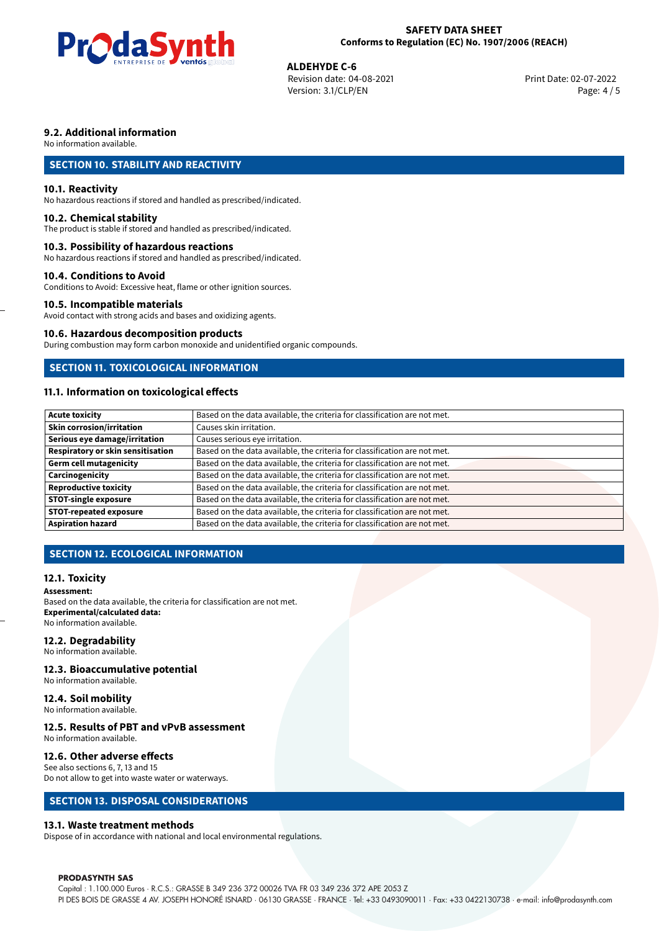

**ALDEHYDE C-6**<br>Revision date: 04-08-2021 **Alta and Servest Print Date: 02-07-2022** Version: 3.1/CLP/EN Page: 4 / 5

# **9.2. Additional information**

No information available.

# **SECTION 10. STABILITY AND REACTIVITY**

## **10.1. Reactivity**

No hazardous reactions if stored and handled as prescribed/indicated.

#### **10.2. Chemical stability**

The product is stable if stored and handled as prescribed/indicated.

#### **10.3. Possibility of hazardous reactions**

No hazardous reactions if stored and handled as prescribed/indicated.

#### **10.4. Conditions to Avoid**

Conditions to Avoid: Excessive heat, flame or other ignition sources.

# **10.5. Incompatible materials**

Avoid contact with strong acids and bases and oxidizing agents.

#### **10.6. Hazardous decomposition products**

During combustion may form carbon monoxide and unidentified organic compounds.

# **SECTION 11. TOXICOLOGICAL INFORMATION**

# **11.1. Information on toxicological effects**

| Acute toxicity                    | Based on the data available, the criteria for classification are not met. |
|-----------------------------------|---------------------------------------------------------------------------|
| Skin corrosion/irritation         | Causes skin irritation.                                                   |
| Serious eye damage/irritation     | Causes serious eye irritation.                                            |
| Respiratory or skin sensitisation | Based on the data available, the criteria for classification are not met. |
| Germ cell mutagenicity            | Based on the data available, the criteria for classification are not met. |
| <b>Carcinogenicity</b>            | Based on the data available, the criteria for classification are not met. |
| Reproductive toxicity             | Based on the data available, the criteria for classification are not met. |
| <b>STOT-single exposure</b>       | Based on the data available, the criteria for classification are not met. |
| <b>STOT-repeated exposure</b>     | Based on the data available, the criteria for classification are not met. |
| Aspiration hazard                 | Based on the data available, the criteria for classification are not met. |

# **SECTION 12. ECOLOGICAL INFORMATION**

## **12.1. Toxicity**

#### **Assessment:**

Based on the data available, the criteria for classification are not met. **Experimental/calculated data:** No information available.

## **12.2. Degradability**

No information available.

#### **12.3. Bioaccumulative potential**

No information available.

# **12.4. Soil mobility**

No information available.

# **12.5. Results of PBT and vPvB assessment**

No information available.

#### **12.6. Other adverse effects**

See also sections 6, 7, 13 and 15 Do not allow to get into waste water or waterways.

## **SECTION 13. DISPOSAL CONSIDERATIONS**

#### **13.1. Waste treatment methods**

Dispose of in accordance with national and local environmental regulations.

#### **PRODASYNTH SAS**

Capital : 1.100.000 Euros · R.C.S.: GRASSE B 349 236 372 00026 TVA FR 03 349 236 372 APE 2053 Z PI DES BOIS DE GRASSE 4 AV. JOSEPH HONORÉ ISNARD · 06130 GRASSE · FRANCE · Tel: +33 0493090011 · Fax: +33 0422130738 · e-mail: info@prodasynth.com